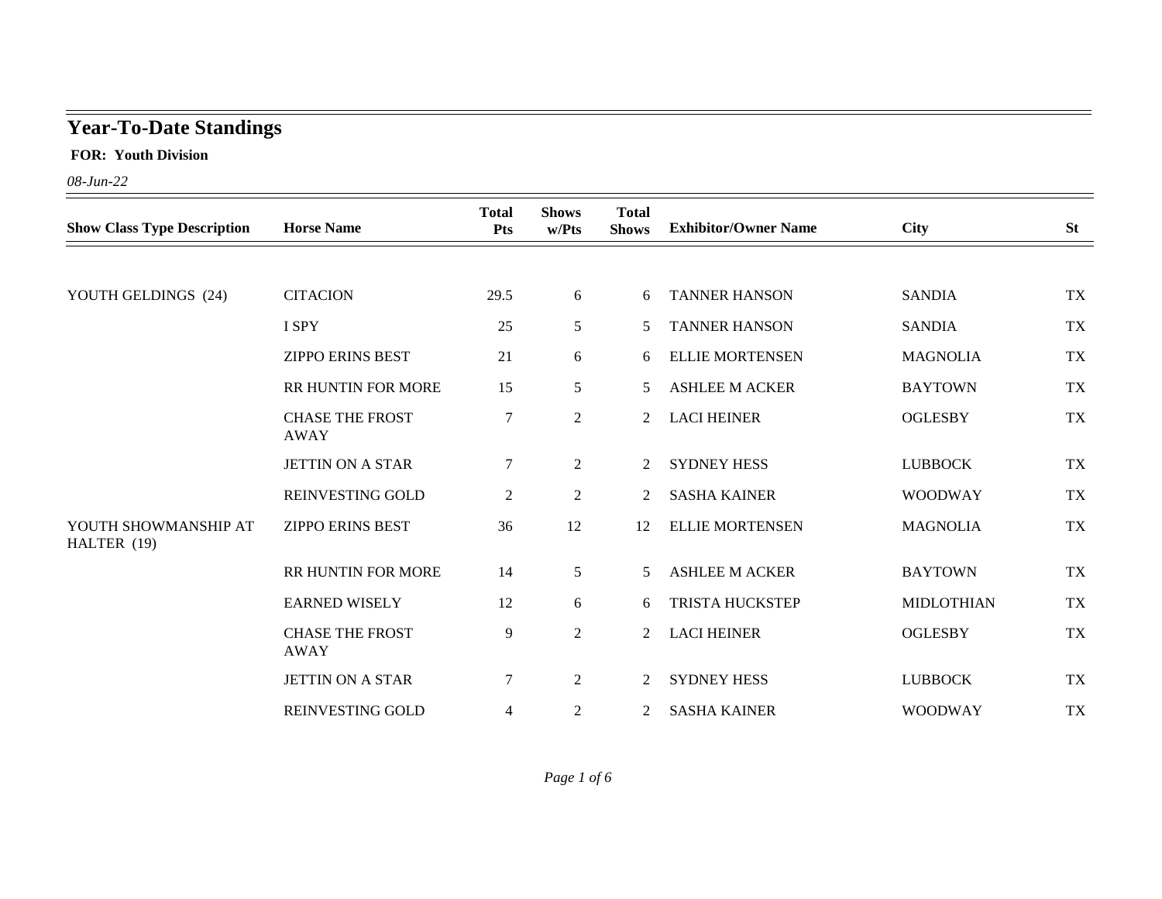## **Year-To-Date Standings**

 **FOR: Youth Division**

*08-Jun-22*

| <b>Show Class Type Description</b>  | <b>Horse Name</b>                     | <b>Total</b><br>Pts | <b>Shows</b><br>w/Pts | <b>Total</b><br><b>Shows</b> | <b>Exhibitor/Owner Name</b> | <b>City</b>       | <b>St</b> |
|-------------------------------------|---------------------------------------|---------------------|-----------------------|------------------------------|-----------------------------|-------------------|-----------|
|                                     |                                       |                     |                       |                              |                             |                   |           |
| YOUTH GELDINGS (24)                 | <b>CITACION</b>                       | 29.5                | 6                     | 6                            | <b>TANNER HANSON</b>        | <b>SANDIA</b>     | <b>TX</b> |
|                                     | I SPY                                 | 25                  | $5\overline{)}$       | 5                            | <b>TANNER HANSON</b>        | <b>SANDIA</b>     | <b>TX</b> |
|                                     | <b>ZIPPO ERINS BEST</b>               | 21                  | 6                     | 6                            | <b>ELLIE MORTENSEN</b>      | <b>MAGNOLIA</b>   | <b>TX</b> |
|                                     | RR HUNTIN FOR MORE                    | 15                  | 5                     | 5                            | <b>ASHLEE M ACKER</b>       | <b>BAYTOWN</b>    | <b>TX</b> |
|                                     | <b>CHASE THE FROST</b><br><b>AWAY</b> | $\boldsymbol{7}$    | $\overline{2}$        | $\overline{2}$               | <b>LACI HEINER</b>          | <b>OGLESBY</b>    | <b>TX</b> |
|                                     | <b>JETTIN ON A STAR</b>               | 7                   | 2                     | 2                            | <b>SYDNEY HESS</b>          | <b>LUBBOCK</b>    | <b>TX</b> |
|                                     | REINVESTING GOLD                      | $\overline{c}$      | $\overline{2}$        | 2                            | <b>SASHA KAINER</b>         | <b>WOODWAY</b>    | <b>TX</b> |
| YOUTH SHOWMANSHIP AT<br>HALTER (19) | <b>ZIPPO ERINS BEST</b>               | 36                  | 12                    | 12                           | <b>ELLIE MORTENSEN</b>      | <b>MAGNOLIA</b>   | <b>TX</b> |
|                                     | RR HUNTIN FOR MORE                    | 14                  | $5\overline{)}$       | 5                            | <b>ASHLEE M ACKER</b>       | <b>BAYTOWN</b>    | <b>TX</b> |
|                                     | <b>EARNED WISELY</b>                  | 12                  | 6                     | 6                            | <b>TRISTA HUCKSTEP</b>      | <b>MIDLOTHIAN</b> | <b>TX</b> |
|                                     | <b>CHASE THE FROST</b><br><b>AWAY</b> | 9                   | $\overline{2}$        | $\overline{2}$               | <b>LACI HEINER</b>          | <b>OGLESBY</b>    | <b>TX</b> |
|                                     | <b>JETTIN ON A STAR</b>               | $\boldsymbol{7}$    | $\boldsymbol{2}$      | 2                            | <b>SYDNEY HESS</b>          | <b>LUBBOCK</b>    | <b>TX</b> |
|                                     | REINVESTING GOLD                      | 4                   | 2                     | $\overline{2}$               | <b>SASHA KAINER</b>         | <b>WOODWAY</b>    | <b>TX</b> |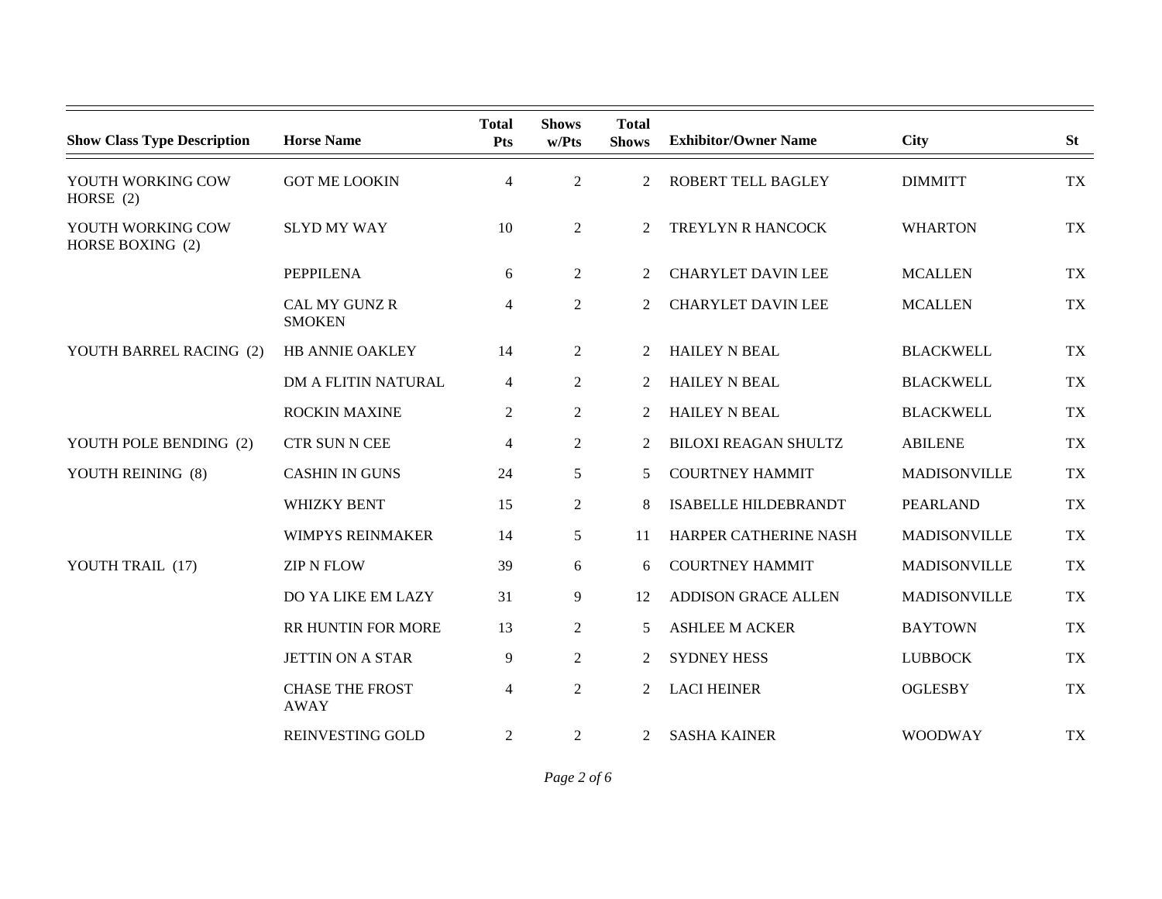| <b>Show Class Type Description</b>    | <b>Horse Name</b>                     | <b>Total</b><br><b>Pts</b> | <b>Shows</b><br>w/Pts | <b>Total</b><br><b>Shows</b> | <b>Exhibitor/Owner Name</b> | City                | <b>St</b> |
|---------------------------------------|---------------------------------------|----------------------------|-----------------------|------------------------------|-----------------------------|---------------------|-----------|
| YOUTH WORKING COW<br>HORSE $(2)$      | <b>GOT ME LOOKIN</b>                  | $\overline{4}$             | $\overline{2}$        | $\overline{2}$               | ROBERT TELL BAGLEY          | <b>DIMMITT</b>      | <b>TX</b> |
| YOUTH WORKING COW<br>HORSE BOXING (2) | <b>SLYD MY WAY</b>                    | 10                         | $\overline{2}$        | 2                            | TREYLYN R HANCOCK           | <b>WHARTON</b>      | <b>TX</b> |
|                                       | <b>PEPPILENA</b>                      | 6                          | $\overline{2}$        | $\overline{2}$               | <b>CHARYLET DAVIN LEE</b>   | <b>MCALLEN</b>      | TX        |
|                                       | CAL MY GUNZ R<br><b>SMOKEN</b>        | 4                          | $\overline{2}$        | 2                            | <b>CHARYLET DAVIN LEE</b>   | <b>MCALLEN</b>      | <b>TX</b> |
| YOUTH BARREL RACING (2)               | HB ANNIE OAKLEY                       | 14                         | $\overline{2}$        | $\overline{2}$               | <b>HAILEY N BEAL</b>        | <b>BLACKWELL</b>    | <b>TX</b> |
|                                       | DM A FLITIN NATURAL                   | 4                          | $\overline{2}$        | 2                            | <b>HAILEY N BEAL</b>        | <b>BLACKWELL</b>    | <b>TX</b> |
|                                       | <b>ROCKIN MAXINE</b>                  | 2                          | $\overline{2}$        | 2                            | <b>HAILEY N BEAL</b>        | <b>BLACKWELL</b>    | <b>TX</b> |
| YOUTH POLE BENDING (2)                | <b>CTR SUN N CEE</b>                  | 4                          | $\overline{2}$        | 2                            | <b>BILOXI REAGAN SHULTZ</b> | <b>ABILENE</b>      | <b>TX</b> |
| YOUTH REINING (8)                     | <b>CASHIN IN GUNS</b>                 | 24                         | 5                     | 5                            | <b>COURTNEY HAMMIT</b>      | <b>MADISONVILLE</b> | <b>TX</b> |
|                                       | <b>WHIZKY BENT</b>                    | 15                         | $\overline{2}$        | 8                            | <b>ISABELLE HILDEBRANDT</b> | <b>PEARLAND</b>     | <b>TX</b> |
|                                       | <b>WIMPYS REINMAKER</b>               | 14                         | 5                     | 11                           | HARPER CATHERINE NASH       | MADISONVILLE        | <b>TX</b> |
| YOUTH TRAIL (17)                      | <b>ZIP N FLOW</b>                     | 39                         | 6                     | 6                            | <b>COURTNEY HAMMIT</b>      | <b>MADISONVILLE</b> | <b>TX</b> |
|                                       | DO YA LIKE EM LAZY                    | 31                         | 9                     | 12                           | <b>ADDISON GRACE ALLEN</b>  | <b>MADISONVILLE</b> | <b>TX</b> |
|                                       | RR HUNTIN FOR MORE                    | 13                         | 2                     | 5                            | <b>ASHLEE M ACKER</b>       | <b>BAYTOWN</b>      | <b>TX</b> |
|                                       | <b>JETTIN ON A STAR</b>               | 9                          | $\overline{2}$        | $\overline{2}$               | <b>SYDNEY HESS</b>          | <b>LUBBOCK</b>      | <b>TX</b> |
|                                       | <b>CHASE THE FROST</b><br><b>AWAY</b> | $\overline{\mathcal{L}}$   | $\overline{2}$        | 2                            | <b>LACI HEINER</b>          | <b>OGLESBY</b>      | <b>TX</b> |
|                                       | REINVESTING GOLD                      | 2                          | $\overline{2}$        | $\overline{2}$               | <b>SASHA KAINER</b>         | <b>WOODWAY</b>      | <b>TX</b> |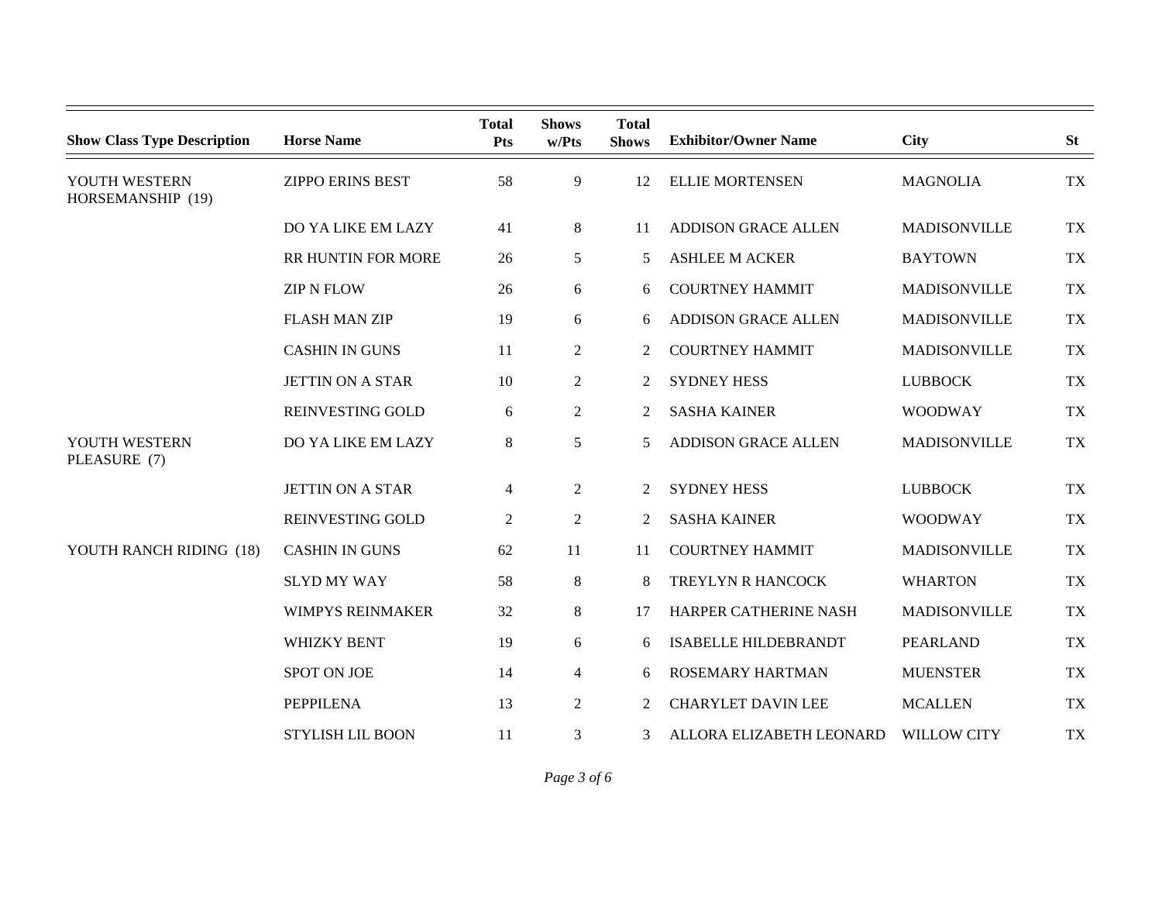| <b>Show Class Type Description</b> | <b>Horse Name</b>         | <b>Total</b><br>Pts | <b>Shows</b><br>w/Pts | <b>Total</b><br><b>Shows</b> | <b>Exhibitor/Owner Name</b> | <b>City</b>         | <b>St</b> |
|------------------------------------|---------------------------|---------------------|-----------------------|------------------------------|-----------------------------|---------------------|-----------|
| YOUTH WESTERN<br>HORSEMANSHIP (19) | <b>ZIPPO ERINS BEST</b>   | 58                  | 9                     | 12                           | <b>ELLIE MORTENSEN</b>      | <b>MAGNOLIA</b>     | <b>TX</b> |
|                                    | DO YA LIKE EM LAZY        | 41                  | 8                     | 11                           | <b>ADDISON GRACE ALLEN</b>  | <b>MADISONVILLE</b> | <b>TX</b> |
|                                    | <b>RR HUNTIN FOR MORE</b> | 26                  | 5                     | 5                            | <b>ASHLEE M ACKER</b>       | <b>BAYTOWN</b>      | <b>TX</b> |
|                                    | <b>ZIP N FLOW</b>         | 26                  | 6                     | 6                            | <b>COURTNEY HAMMIT</b>      | <b>MADISONVILLE</b> | <b>TX</b> |
|                                    | <b>FLASH MAN ZIP</b>      | 19                  | 6                     | 6                            | <b>ADDISON GRACE ALLEN</b>  | MADISONVILLE        | <b>TX</b> |
|                                    | <b>CASHIN IN GUNS</b>     | 11                  | $\overline{2}$        | 2                            | <b>COURTNEY HAMMIT</b>      | MADISONVILLE        | <b>TX</b> |
|                                    | <b>JETTIN ON A STAR</b>   | 10                  | $\overline{2}$        | 2                            | <b>SYDNEY HESS</b>          | <b>LUBBOCK</b>      | <b>TX</b> |
|                                    | REINVESTING GOLD          | 6                   | $\overline{2}$        | 2                            | <b>SASHA KAINER</b>         | <b>WOODWAY</b>      | <b>TX</b> |
| YOUTH WESTERN<br>PLEASURE (7)      | DO YA LIKE EM LAZY        | 8                   | 5                     | 5                            | <b>ADDISON GRACE ALLEN</b>  | <b>MADISONVILLE</b> | <b>TX</b> |
|                                    | <b>JETTIN ON A STAR</b>   | $\overline{4}$      | 2                     | 2                            | <b>SYDNEY HESS</b>          | <b>LUBBOCK</b>      | <b>TX</b> |
|                                    | REINVESTING GOLD          | $\overline{2}$      | $\overline{2}$        | 2                            | <b>SASHA KAINER</b>         | <b>WOODWAY</b>      | <b>TX</b> |
| YOUTH RANCH RIDING (18)            | <b>CASHIN IN GUNS</b>     | 62                  | 11                    | 11                           | <b>COURTNEY HAMMIT</b>      | <b>MADISONVILLE</b> | <b>TX</b> |
|                                    | <b>SLYD MY WAY</b>        | 58                  | 8                     | 8                            | TREYLYN R HANCOCK           | <b>WHARTON</b>      | <b>TX</b> |
|                                    | <b>WIMPYS REINMAKER</b>   | 32                  | 8                     | 17                           | HARPER CATHERINE NASH       | <b>MADISONVILLE</b> | <b>TX</b> |
|                                    | <b>WHIZKY BENT</b>        | 19                  | 6                     | 6                            | <b>ISABELLE HILDEBRANDT</b> | <b>PEARLAND</b>     | <b>TX</b> |
|                                    | SPOT ON JOE               | 14                  | 4                     | 6                            | <b>ROSEMARY HARTMAN</b>     | <b>MUENSTER</b>     | <b>TX</b> |
|                                    | <b>PEPPILENA</b>          | 13                  | $\overline{2}$        | 2                            | <b>CHARYLET DAVIN LEE</b>   | <b>MCALLEN</b>      | <b>TX</b> |
|                                    | <b>STYLISH LIL BOON</b>   | 11                  | 3                     | 3                            | ALLORA ELIZABETH LEONARD    | <b>WILLOW CITY</b>  | <b>TX</b> |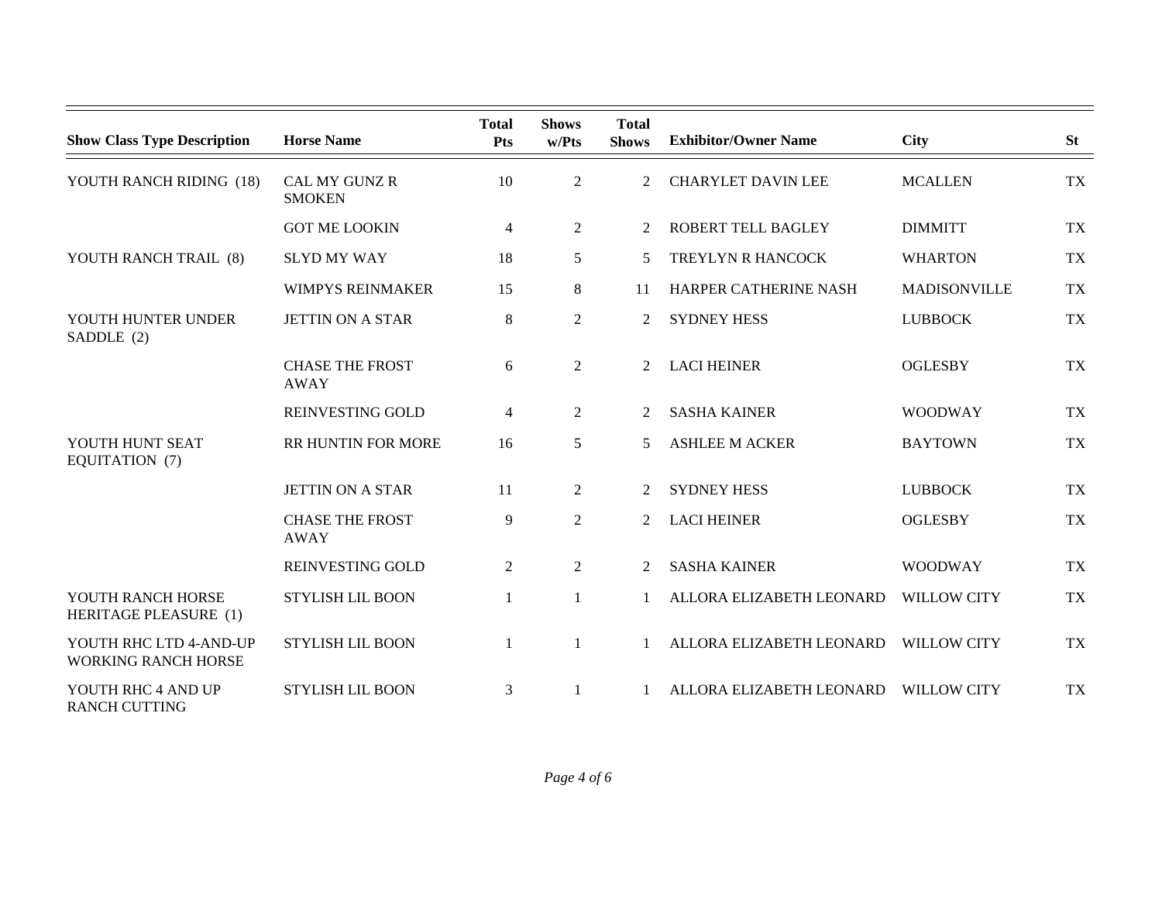| <b>Show Class Type Description</b>                   | <b>Horse Name</b>                     | <b>Total</b><br><b>Pts</b> | <b>Shows</b><br>w/Pts | <b>Total</b><br><b>Shows</b> | <b>Exhibitor/Owner Name</b> | <b>City</b>         | <b>St</b> |
|------------------------------------------------------|---------------------------------------|----------------------------|-----------------------|------------------------------|-----------------------------|---------------------|-----------|
| YOUTH RANCH RIDING (18)                              | <b>CAL MY GUNZ R</b><br><b>SMOKEN</b> | 10                         | $\overline{2}$        | 2                            | <b>CHARYLET DAVIN LEE</b>   | <b>MCALLEN</b>      | <b>TX</b> |
|                                                      | <b>GOT ME LOOKIN</b>                  | $\overline{4}$             | $\overline{2}$        | $\overline{2}$               | <b>ROBERT TELL BAGLEY</b>   | <b>DIMMITT</b>      | <b>TX</b> |
| YOUTH RANCH TRAIL (8)                                | <b>SLYD MY WAY</b>                    | 18                         | 5                     | 5                            | TREYLYN R HANCOCK           | <b>WHARTON</b>      | <b>TX</b> |
|                                                      | <b>WIMPYS REINMAKER</b>               | 15                         | 8                     | 11                           | HARPER CATHERINE NASH       | <b>MADISONVILLE</b> | <b>TX</b> |
| YOUTH HUNTER UNDER<br>SADDLE (2)                     | <b>JETTIN ON A STAR</b>               | $8\,$                      | $\overline{c}$        | 2                            | <b>SYDNEY HESS</b>          | <b>LUBBOCK</b>      | <b>TX</b> |
|                                                      | <b>CHASE THE FROST</b><br><b>AWAY</b> | 6                          | $\overline{2}$        | 2                            | <b>LACI HEINER</b>          | <b>OGLESBY</b>      | <b>TX</b> |
|                                                      | REINVESTING GOLD                      | 4                          | $\overline{2}$        | 2                            | <b>SASHA KAINER</b>         | <b>WOODWAY</b>      | <b>TX</b> |
| YOUTH HUNT SEAT<br>EQUITATION (7)                    | RR HUNTIN FOR MORE                    | 16                         | 5                     | 5                            | <b>ASHLEE M ACKER</b>       | <b>BAYTOWN</b>      | <b>TX</b> |
|                                                      | <b>JETTIN ON A STAR</b>               | 11                         | $\overline{2}$        | $\overline{2}$               | <b>SYDNEY HESS</b>          | <b>LUBBOCK</b>      | <b>TX</b> |
|                                                      | <b>CHASE THE FROST</b><br><b>AWAY</b> | 9                          | $\overline{2}$        | $\overline{2}$               | <b>LACI HEINER</b>          | <b>OGLESBY</b>      | <b>TX</b> |
|                                                      | <b>REINVESTING GOLD</b>               | $\overline{2}$             | $\overline{2}$        | $\overline{2}$               | <b>SASHA KAINER</b>         | <b>WOODWAY</b>      | <b>TX</b> |
| YOUTH RANCH HORSE<br>HERITAGE PLEASURE (1)           | <b>STYLISH LIL BOON</b>               | 1                          | $\mathbf{1}$          |                              | ALLORA ELIZABETH LEONARD    | <b>WILLOW CITY</b>  | <b>TX</b> |
| YOUTH RHC LTD 4-AND-UP<br><b>WORKING RANCH HORSE</b> | <b>STYLISH LIL BOON</b>               | 1                          | 1                     |                              | ALLORA ELIZABETH LEONARD    | <b>WILLOW CITY</b>  | <b>TX</b> |
| YOUTH RHC 4 AND UP<br><b>RANCH CUTTING</b>           | <b>STYLISH LIL BOON</b>               | 3                          | 1                     |                              | ALLORA ELIZABETH LEONARD    | <b>WILLOW CITY</b>  | <b>TX</b> |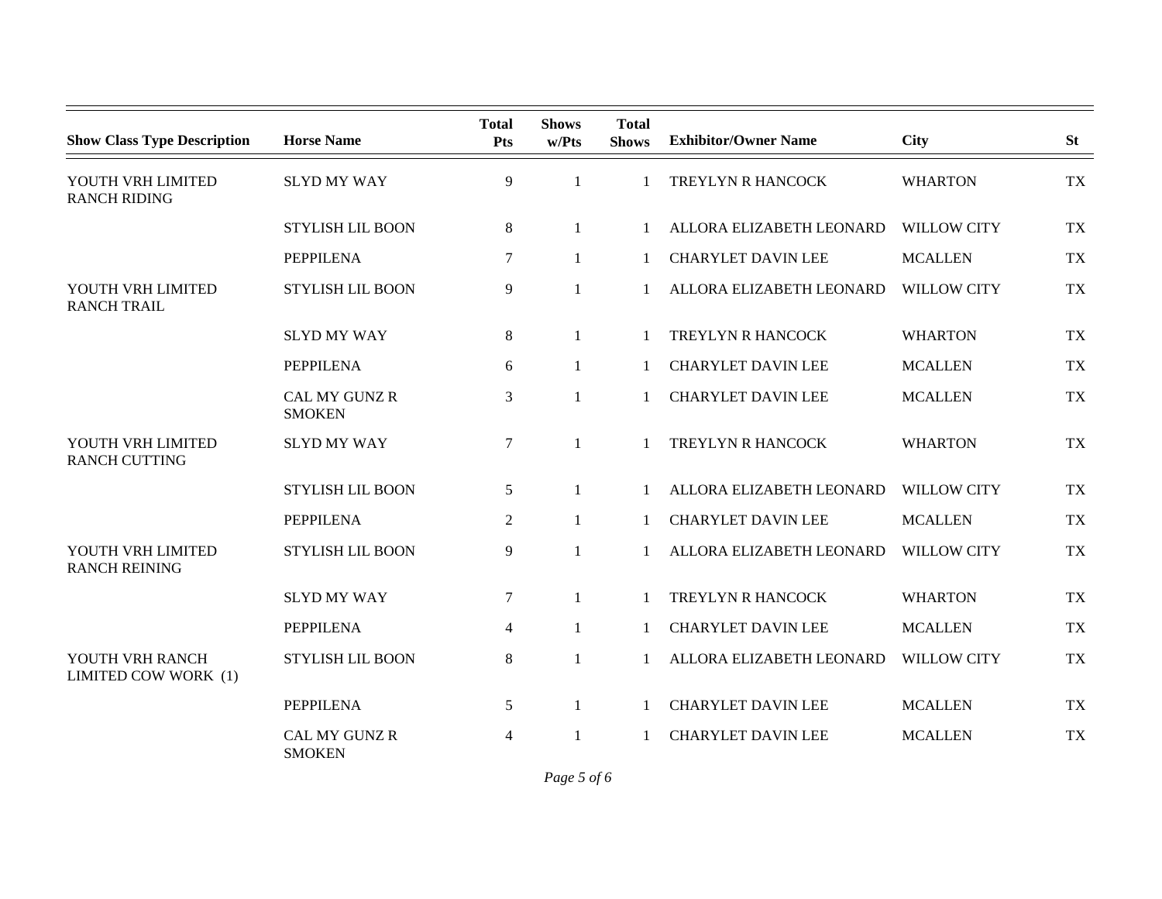| <b>Show Class Type Description</b>        | <b>Horse Name</b>              | <b>Total</b><br><b>Pts</b> | <b>Shows</b><br>w/Pts | <b>Total</b><br><b>Shows</b> | <b>Exhibitor/Owner Name</b> | <b>City</b>        | <b>St</b> |
|-------------------------------------------|--------------------------------|----------------------------|-----------------------|------------------------------|-----------------------------|--------------------|-----------|
| YOUTH VRH LIMITED<br><b>RANCH RIDING</b>  | <b>SLYD MY WAY</b>             | 9                          | 1                     |                              | TREYLYN R HANCOCK           | <b>WHARTON</b>     | <b>TX</b> |
|                                           | <b>STYLISH LIL BOON</b>        | 8                          | $\mathbf{1}$          | $\mathbf{1}$                 | ALLORA ELIZABETH LEONARD    | <b>WILLOW CITY</b> | <b>TX</b> |
|                                           | <b>PEPPILENA</b>               | 7                          | $\mathbf{1}$          | 1                            | <b>CHARYLET DAVIN LEE</b>   | <b>MCALLEN</b>     | <b>TX</b> |
| YOUTH VRH LIMITED<br><b>RANCH TRAIL</b>   | <b>STYLISH LIL BOON</b>        | 9                          | 1                     | $\mathbf{1}$                 | ALLORA ELIZABETH LEONARD    | <b>WILLOW CITY</b> | <b>TX</b> |
|                                           | <b>SLYD MY WAY</b>             | 8                          | 1                     | 1                            | TREYLYN R HANCOCK           | <b>WHARTON</b>     | <b>TX</b> |
|                                           | <b>PEPPILENA</b>               | 6                          | 1                     | 1                            | <b>CHARYLET DAVIN LEE</b>   | <b>MCALLEN</b>     | <b>TX</b> |
|                                           | CAL MY GUNZ R<br><b>SMOKEN</b> | 3                          | 1                     |                              | <b>CHARYLET DAVIN LEE</b>   | <b>MCALLEN</b>     | <b>TX</b> |
| YOUTH VRH LIMITED<br><b>RANCH CUTTING</b> | <b>SLYD MY WAY</b>             | $\tau$                     | 1                     |                              | TREYLYN R HANCOCK           | <b>WHARTON</b>     | <b>TX</b> |
|                                           | <b>STYLISH LIL BOON</b>        | 5                          | 1                     | $\mathbf{1}$                 | ALLORA ELIZABETH LEONARD    | <b>WILLOW CITY</b> | <b>TX</b> |
|                                           | <b>PEPPILENA</b>               | $\overline{2}$             | 1                     | 1                            | <b>CHARYLET DAVIN LEE</b>   | <b>MCALLEN</b>     | <b>TX</b> |
| YOUTH VRH LIMITED<br><b>RANCH REINING</b> | <b>STYLISH LIL BOON</b>        | 9                          | $\mathbf{1}$          | $\mathbf{1}$                 | ALLORA ELIZABETH LEONARD    | <b>WILLOW CITY</b> | <b>TX</b> |
|                                           | <b>SLYD MY WAY</b>             | 7                          | 1                     | 1                            | TREYLYN R HANCOCK           | <b>WHARTON</b>     | <b>TX</b> |
|                                           | <b>PEPPILENA</b>               | $\overline{4}$             |                       | $\mathbf{1}$                 | <b>CHARYLET DAVIN LEE</b>   | <b>MCALLEN</b>     | <b>TX</b> |
| YOUTH VRH RANCH<br>LIMITED COW WORK (1)   | <b>STYLISH LIL BOON</b>        | $8\,$                      | 1                     |                              | ALLORA ELIZABETH LEONARD    | <b>WILLOW CITY</b> | <b>TX</b> |
|                                           | <b>PEPPILENA</b>               | 5                          | 1                     |                              | <b>CHARYLET DAVIN LEE</b>   | <b>MCALLEN</b>     | <b>TX</b> |
|                                           | CAL MY GUNZ R<br><b>SMOKEN</b> | 4                          |                       |                              | <b>CHARYLET DAVIN LEE</b>   | <b>MCALLEN</b>     | <b>TX</b> |